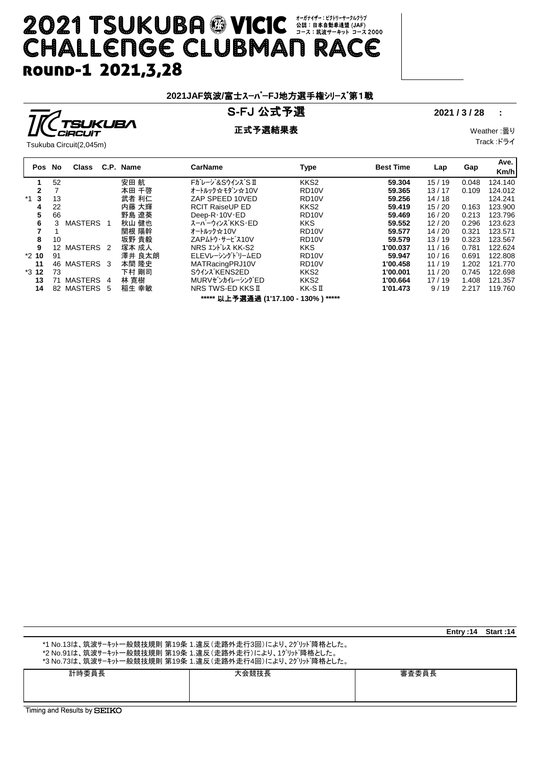# **2021 TSUKUBA © VICIC <br 2008/09/2009 2021 TSUKUBA © VICIC CHALLENGE CLUBMAN RACE** ROUND-1 2021, 3, 28

### **2021JAF**筑波**/**富士スーパー**FJ**地方選手権シリーズ第1戦

## S**-**FJ 公式予選 **2021 / 3 / 28 :**

正式予選結果表 Weather :曇り

Track :ドライ

|  | ______                  |  |
|--|-------------------------|--|
|  | Tsukuba Circuit(2,045m) |  |

| Pos No       |     | Class                |   | C.P. Name | <b>CarName</b>                        | Type               | <b>Best Time</b> | Lap   | Gap   | Ave.<br>Km/h |
|--------------|-----|----------------------|---|-----------|---------------------------------------|--------------------|------------------|-------|-------|--------------|
|              | 52  |                      |   | 安田 航      | Fガレージ&SウインズS II                       | KKS <sub>2</sub>   | 59.304           | 15/19 | 0.048 | 124.140      |
| $\mathbf{2}$ |     |                      |   | 本田 千啓     | オートルック☆モダン☆10∨                        | RD <sub>10</sub> V | 59.365           | 13/17 | 0.109 | 124.012      |
| $*1$ 3       | 13  |                      |   | 武者 利仁     | ZAP SPEED 10VED                       | RD <sub>10</sub> V | 59.256           | 14/18 |       | 124.241      |
| 4            | 22  |                      |   | 内藤 大輝     | <b>RCIT RaiseUP ED</b>                | KKS <sub>2</sub>   | 59.419           | 15/20 | 0.163 | 123.900      |
| 5            | 66  |                      |   | 野島 遼葵     | Deep- $R \cdot 10V \cdot ED$          | RD <sub>10</sub> V | 59.469           | 16/20 | 0.213 | 123.796      |
| 6            | 3   | <b>MASTERS</b>       |   | 秋山 健也     | スーパーウィンズ KKS・ED                       | <b>KKS</b>         | 59.552           | 12/20 | 0.296 | 123.623      |
|              |     |                      |   | 関根 陽幹     | オートルック☆10Ⅴ                            | RD <sub>10</sub> V | 59.577           | 14/20 | 0.321 | 123.571      |
| 8            | 10  |                      |   | 坂野 貴毅     | ZAPムトウ・サービス10V                        | RD <sub>10</sub> V | 59.579           | 13/19 | 0.323 | 123.567      |
| 9            | 12  | MASTERS <sub>2</sub> |   | 塚本 成人     | NRS エンドレス KK-S2                       | <b>KKS</b>         | 1'00.037         | 11/16 | 0.781 | 122.624      |
| $*210$       | 91  |                      |   | 澤井 良太朗    | ELEVレーシングドリームED                       | RD <sub>10</sub> V | 59.947           | 10/16 | 0.691 | 122.808      |
| 11           | 46. | MASTERS 3            |   | 本間 隆史     | MATRacingPRJ10V                       | RD <sub>10</sub> V | 1'00.458         | 11/19 | 1.202 | 121.770      |
| $*312$       | 73  |                      |   | 下村 剛司     | Sウインズ KENS2ED                         | KKS <sub>2</sub>   | 1'00.001         | 11/20 | 0.745 | 122.698      |
| 13           | 71  | MASTERS 4            |   | 林 寛樹      | MURVゼンカイレーシングED                       | KKS <sub>2</sub>   | 1'00.664         | 17/19 | 1.408 | 121.357      |
| 14           | 82  | MASTERS              | 5 | 稲生 幸敏     | NRS TWS-ED KKS II                     | KK-SI              | 1'01.473         | 9/19  | 2.217 | 119.760      |
|              |     |                      |   |           | ***** 以上予選通過 (1'17.100 - 130% ) ***** |                    |                  |       |       |              |

|                                                                                                                                                                                   |       |       | Entry:14 | Start: 14 |  |  |
|-----------------------------------------------------------------------------------------------------------------------------------------------------------------------------------|-------|-------|----------|-----------|--|--|
| *1 No.13は、筑波サーキット一般競技規則 第19条 1.違反(走路外走行3回)により、2グリッド降格とした。<br>*2 No.91は、筑波サーキット一般競技規則 第19条 1.違反(走路外走行)により、1グリッド降格とした。<br>*3 No.73は、筑波サーキット一般競技規則 第19条 1.違反(走路外走行4回)により、2グリッド降格とした。 |       |       |          |           |  |  |
| 計時委員長                                                                                                                                                                             | 大会競技長 | 審査委員長 |          |           |  |  |
| ר Cimina and Reculte hy <b>⊂דינגר</b>                                                                                                                                             |       |       |          |           |  |  |

iming and Results by  ${\bf SEIKC}$ 

**TSUKUBA**